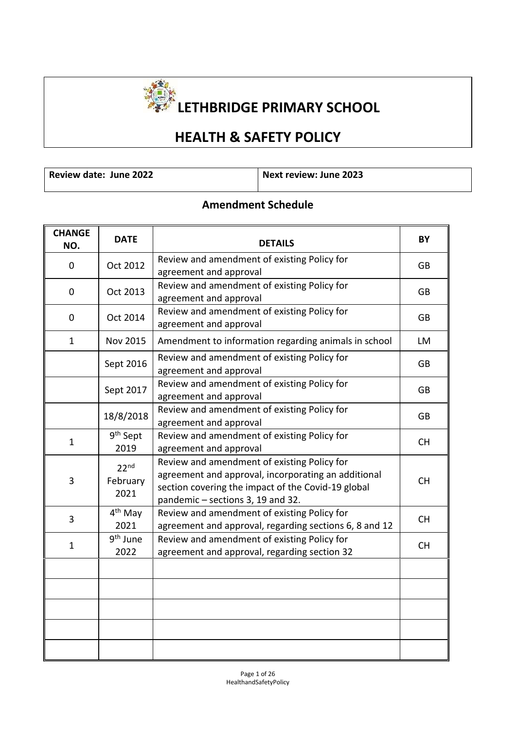

# **HEALTH & SAFETY POLICY**

**Review date: June 2022 Next review: June 2023**

### **Amendment Schedule**

| <b>CHANGE</b><br>NO. | <b>DATE</b>                          | <b>DETAILS</b>                                                                                                                                                                                | BY        |
|----------------------|--------------------------------------|-----------------------------------------------------------------------------------------------------------------------------------------------------------------------------------------------|-----------|
| $\mathbf 0$          | Oct 2012                             | Review and amendment of existing Policy for<br>agreement and approval                                                                                                                         | <b>GB</b> |
| $\mathbf 0$          | Oct 2013                             | Review and amendment of existing Policy for<br>agreement and approval                                                                                                                         | <b>GB</b> |
| $\mathbf 0$          | Oct 2014                             | Review and amendment of existing Policy for<br>agreement and approval                                                                                                                         | <b>GB</b> |
| $\mathbf{1}$         | Nov 2015                             | Amendment to information regarding animals in school                                                                                                                                          | LM        |
|                      | Sept 2016                            | Review and amendment of existing Policy for<br>agreement and approval                                                                                                                         |           |
|                      | Sept 2017                            | Review and amendment of existing Policy for<br>agreement and approval                                                                                                                         | <b>GB</b> |
|                      | 18/8/2018                            | Review and amendment of existing Policy for<br>agreement and approval                                                                                                                         | <b>GB</b> |
| $\mathbf{1}$         | 9 <sup>th</sup> Sept<br>2019         | Review and amendment of existing Policy for<br>agreement and approval                                                                                                                         | <b>CH</b> |
| 3                    | 22 <sup>nd</sup><br>February<br>2021 | Review and amendment of existing Policy for<br>agreement and approval, incorporating an additional<br>section covering the impact of the Covid-19 global<br>pandemic - sections 3, 19 and 32. | <b>CH</b> |
| $\overline{3}$       | 4 <sup>th</sup> May<br>2021          | Review and amendment of existing Policy for<br>agreement and approval, regarding sections 6, 8 and 12                                                                                         | <b>CH</b> |
| $\mathbf{1}$         | 9 <sup>th</sup> June<br>2022         | Review and amendment of existing Policy for<br>agreement and approval, regarding section 32                                                                                                   | <b>CH</b> |
|                      |                                      |                                                                                                                                                                                               |           |
|                      |                                      |                                                                                                                                                                                               |           |
|                      |                                      |                                                                                                                                                                                               |           |
|                      |                                      |                                                                                                                                                                                               |           |
|                      |                                      |                                                                                                                                                                                               |           |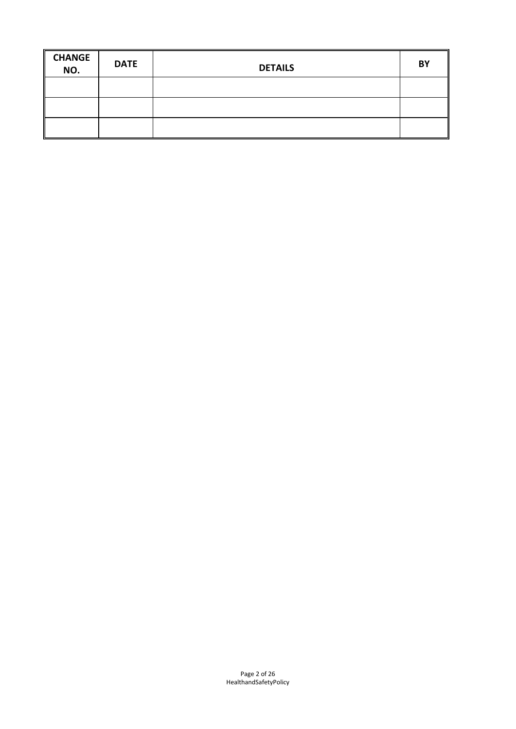| <b>CHANGE</b><br>NO. | <b>DATE</b> | <b>DETAILS</b> | BY |
|----------------------|-------------|----------------|----|
|                      |             |                |    |
|                      |             |                |    |
|                      |             |                |    |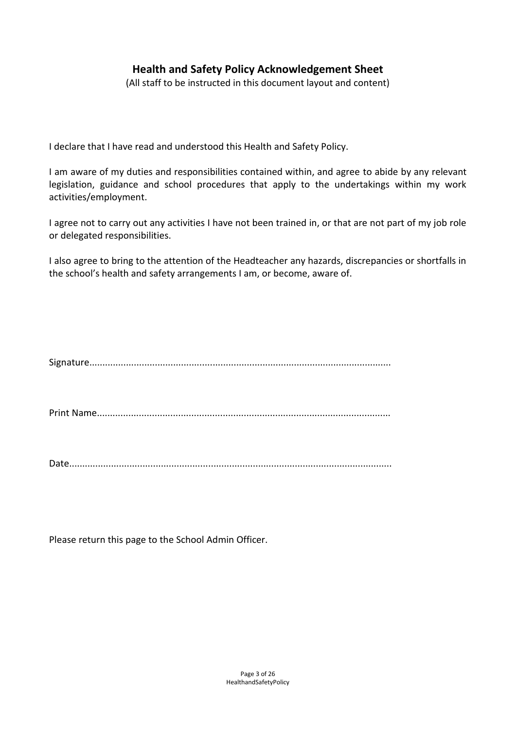### **Health and Safety Policy Acknowledgement Sheet**

(All staff to be instructed in this document layout and content)

I declare that I have read and understood this Health and Safety Policy.

I am aware of my duties and responsibilities contained within, and agree to abide by any relevant legislation, guidance and school procedures that apply to the undertakings within my work activities/employment.

I agree not to carry out any activities I have not been trained in, or that are not part of my job role or delegated responsibilities.

I also agree to bring to the attention of the Headteacher any hazards, discrepancies or shortfalls in the school's health and safety arrangements I am, or become, aware of.

Signature...................................................................................................................

Print Name................................................................................................................

Date...........................................................................................................................

Please return this page to the School Admin Officer.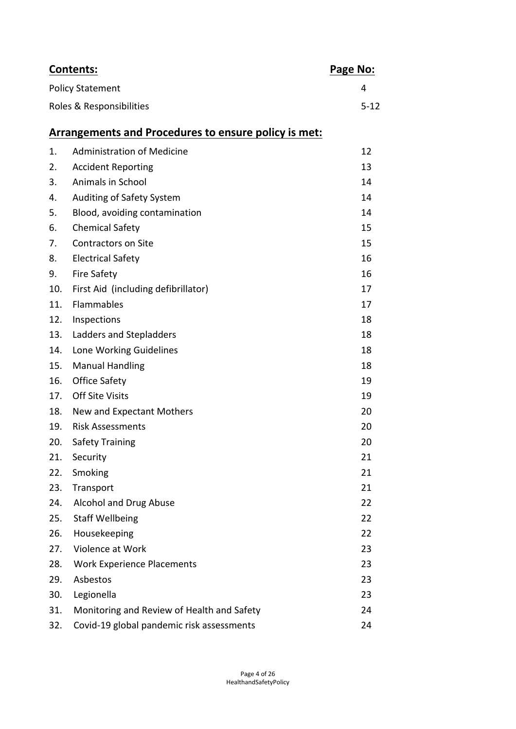|                          | <b>Contents:</b>                                            | Page No: |
|--------------------------|-------------------------------------------------------------|----------|
| <b>Policy Statement</b>  | 4                                                           |          |
| Roles & Responsibilities | $5 - 12$                                                    |          |
|                          | <b>Arrangements and Procedures to ensure policy is met:</b> |          |
| 1.                       | <b>Administration of Medicine</b>                           | 12       |
| 2.                       | <b>Accident Reporting</b>                                   | 13       |
| 3.                       | Animals in School                                           | 14       |
| 4.                       | Auditing of Safety System                                   | 14       |
| 5.                       | Blood, avoiding contamination                               | 14       |
| 6.                       | <b>Chemical Safety</b>                                      | 15       |
| 7.                       | <b>Contractors on Site</b>                                  | 15       |
| 8.                       | <b>Electrical Safety</b>                                    | 16       |
| 9.                       | <b>Fire Safety</b>                                          | 16       |
| 10.                      | First Aid (including defibrillator)                         | 17       |
| 11.                      | Flammables                                                  | 17       |
| 12.                      | Inspections                                                 | 18       |
| 13.                      | Ladders and Stepladders                                     | 18       |
| 14.                      | Lone Working Guidelines                                     | 18       |
| 15.                      | <b>Manual Handling</b>                                      | 18       |
| 16.                      | <b>Office Safety</b>                                        | 19       |
| 17.                      | <b>Off Site Visits</b>                                      | 19       |
| 18.                      | New and Expectant Mothers                                   | 20       |
| 19.                      | <b>Risk Assessments</b>                                     | 20       |
| 20.                      | <b>Safety Training</b>                                      | 20       |
| 21.                      | Security                                                    | 21       |
| 22.                      | Smoking                                                     | 21       |
| 23.                      | Transport                                                   | 21       |
| 24.                      | Alcohol and Drug Abuse                                      | 22       |
| 25.                      | <b>Staff Wellbeing</b>                                      | 22       |
| 26.                      | Housekeeping                                                | 22       |
| 27.                      | Violence at Work                                            | 23       |
| 28.                      | <b>Work Experience Placements</b>                           | 23       |
| 29.                      | Asbestos                                                    | 23       |
| 30.                      | Legionella                                                  | 23       |
| 31.                      | Monitoring and Review of Health and Safety                  | 24       |
| 32.                      | Covid-19 global pandemic risk assessments                   | 24       |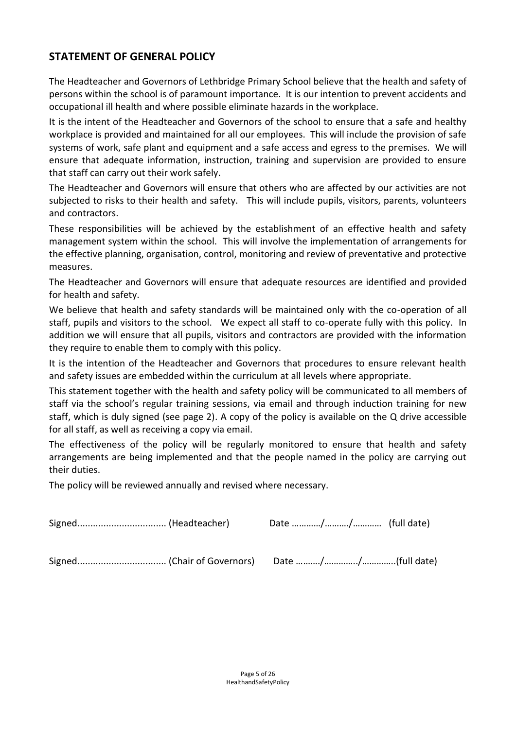# **STATEMENT OF GENERAL POLICY**

The Headteacher and Governors of Lethbridge Primary School believe that the health and safety of persons within the school is of paramount importance. It is our intention to prevent accidents and occupational ill health and where possible eliminate hazards in the workplace.

It is the intent of the Headteacher and Governors of the school to ensure that a safe and healthy workplace is provided and maintained for all our employees. This will include the provision of safe systems of work, safe plant and equipment and a safe access and egress to the premises. We will ensure that adequate information, instruction, training and supervision are provided to ensure that staff can carry out their work safely.

The Headteacher and Governors will ensure that others who are affected by our activities are not subjected to risks to their health and safety. This will include pupils, visitors, parents, volunteers and contractors.

These responsibilities will be achieved by the establishment of an effective health and safety management system within the school. This will involve the implementation of arrangements for the effective planning, organisation, control, monitoring and review of preventative and protective measures.

The Headteacher and Governors will ensure that adequate resources are identified and provided for health and safety.

We believe that health and safety standards will be maintained only with the co-operation of all staff, pupils and visitors to the school. We expect all staff to co-operate fully with this policy. In addition we will ensure that all pupils, visitors and contractors are provided with the information they require to enable them to comply with this policy.

It is the intention of the Headteacher and Governors that procedures to ensure relevant health and safety issues are embedded within the curriculum at all levels where appropriate.

This statement together with the health and safety policy will be communicated to all members of staff via the school's regular training sessions, via email and through induction training for new staff, which is duly signed (see page 2). A copy of the policy is available on the Q drive accessible for all staff, as well as receiving a copy via email.

The effectiveness of the policy will be regularly monitored to ensure that health and safety arrangements are being implemented and that the people named in the policy are carrying out their duties.

The policy will be reviewed annually and revised where necessary.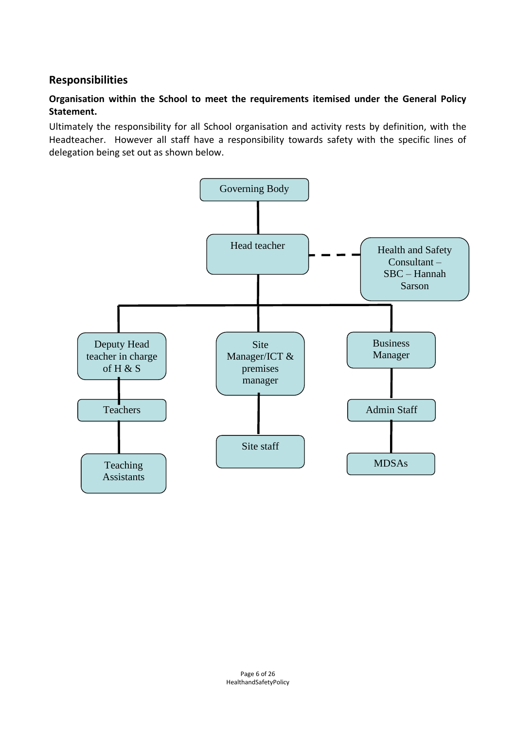#### **Responsibilities**

#### **Organisation within the School to meet the requirements itemised under the General Policy Statement.**

Ultimately the responsibility for all School organisation and activity rests by definition, with the Headteacher. However all staff have a responsibility towards safety with the specific lines of delegation being set out as shown below.

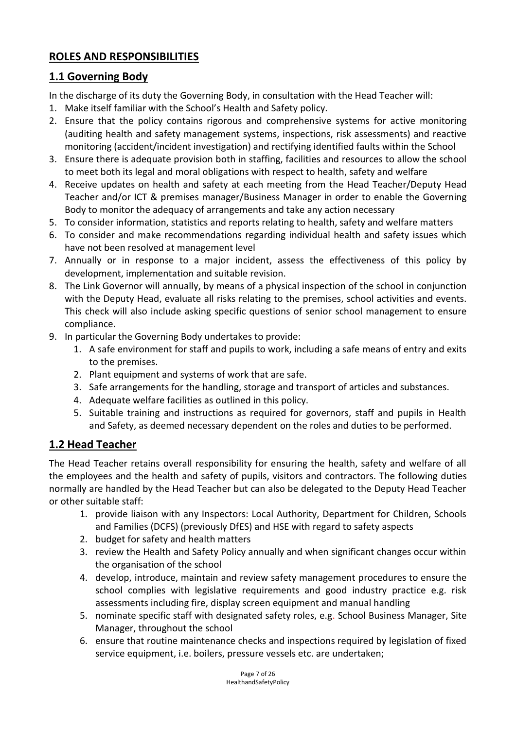# **ROLES AND RESPONSIBILITIES**

### **1.1 Governing Body**

In the discharge of its duty the Governing Body, in consultation with the Head Teacher will:

- 1. Make itself familiar with the School's Health and Safety policy.
- 2. Ensure that the policy contains rigorous and comprehensive systems for active monitoring (auditing health and safety management systems, inspections, risk assessments) and reactive monitoring (accident/incident investigation) and rectifying identified faults within the School
- 3. Ensure there is adequate provision both in staffing, facilities and resources to allow the school to meet both its legal and moral obligations with respect to health, safety and welfare
- 4. Receive updates on health and safety at each meeting from the Head Teacher/Deputy Head Teacher and/or ICT & premises manager/Business Manager in order to enable the Governing Body to monitor the adequacy of arrangements and take any action necessary
- 5. To consider information, statistics and reports relating to health, safety and welfare matters
- 6. To consider and make recommendations regarding individual health and safety issues which have not been resolved at management level
- 7. Annually or in response to a major incident, assess the effectiveness of this policy by development, implementation and suitable revision.
- 8. The Link Governor will annually, by means of a physical inspection of the school in conjunction with the Deputy Head, evaluate all risks relating to the premises, school activities and events. This check will also include asking specific questions of senior school management to ensure compliance.
- 9. In particular the Governing Body undertakes to provide:
	- 1. A safe environment for staff and pupils to work, including a safe means of entry and exits to the premises.
	- 2. Plant equipment and systems of work that are safe.
	- 3. Safe arrangements for the handling, storage and transport of articles and substances.
	- 4. Adequate welfare facilities as outlined in this policy.
	- 5. Suitable training and instructions as required for governors, staff and pupils in Health and Safety, as deemed necessary dependent on the roles and duties to be performed.

### **1.2 Head Teacher**

The Head Teacher retains overall responsibility for ensuring the health, safety and welfare of all the employees and the health and safety of pupils, visitors and contractors. The following duties normally are handled by the Head Teacher but can also be delegated to the Deputy Head Teacher or other suitable staff:

- 1. provide liaison with any Inspectors: Local Authority, Department for Children, Schools and Families (DCFS) (previously DfES) and HSE with regard to safety aspects
- 2. budget for safety and health matters
- 3. review the Health and Safety Policy annually and when significant changes occur within the organisation of the school
- 4. develop, introduce, maintain and review safety management procedures to ensure the school complies with legislative requirements and good industry practice e.g. risk assessments including fire, display screen equipment and manual handling
- 5. nominate specific staff with designated safety roles, e.g. School Business Manager, Site Manager, throughout the school
- 6. ensure that routine maintenance checks and inspections required by legislation of fixed service equipment, i.e. boilers, pressure vessels etc. are undertaken;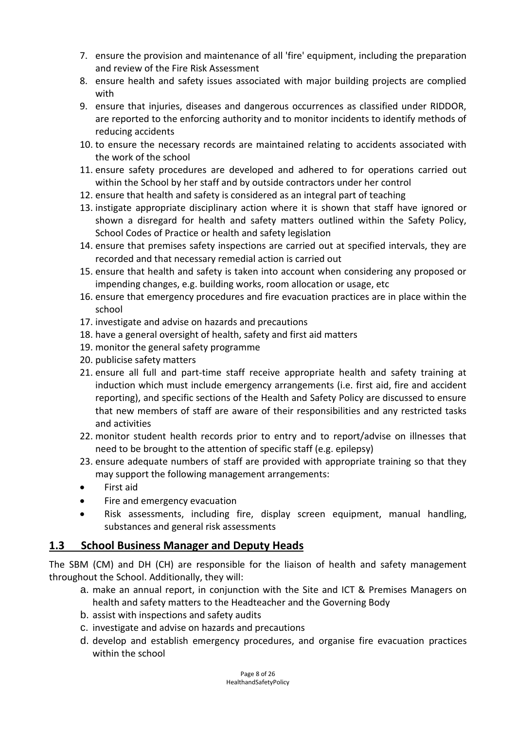- 7. ensure the provision and maintenance of all 'fire' equipment, including the preparation and review of the Fire Risk Assessment
- 8. ensure health and safety issues associated with major building projects are complied with
- 9. ensure that injuries, diseases and dangerous occurrences as classified under RIDDOR, are reported to the enforcing authority and to monitor incidents to identify methods of reducing accidents
- 10. to ensure the necessary records are maintained relating to accidents associated with the work of the school
- 11. ensure safety procedures are developed and adhered to for operations carried out within the School by her staff and by outside contractors under her control
- 12. ensure that health and safety is considered as an integral part of teaching
- 13. instigate appropriate disciplinary action where it is shown that staff have ignored or shown a disregard for health and safety matters outlined within the Safety Policy, School Codes of Practice or health and safety legislation
- 14. ensure that premises safety inspections are carried out at specified intervals, they are recorded and that necessary remedial action is carried out
- 15. ensure that health and safety is taken into account when considering any proposed or impending changes, e.g. building works, room allocation or usage, etc
- 16. ensure that emergency procedures and fire evacuation practices are in place within the school
- 17. investigate and advise on hazards and precautions
- 18. have a general oversight of health, safety and first aid matters
- 19. monitor the general safety programme
- 20. publicise safety matters
- 21. ensure all full and part-time staff receive appropriate health and safety training at induction which must include emergency arrangements (i.e. first aid, fire and accident reporting), and specific sections of the Health and Safety Policy are discussed to ensure that new members of staff are aware of their responsibilities and any restricted tasks and activities
- 22. monitor student health records prior to entry and to report/advise on illnesses that need to be brought to the attention of specific staff (e.g. epilepsy)
- 23. ensure adequate numbers of staff are provided with appropriate training so that they may support the following management arrangements:
- First aid
- Fire and emergency evacuation
- Risk assessments, including fire, display screen equipment, manual handling, substances and general risk assessments

#### **1.3 School Business Manager and Deputy Heads**

The SBM (CM) and DH (CH) are responsible for the liaison of health and safety management throughout the School. Additionally, they will:

- a. make an annual report, in conjunction with the Site and ICT & Premises Managers on health and safety matters to the Headteacher and the Governing Body
- b. assist with inspections and safety audits
- c. investigate and advise on hazards and precautions
- d. develop and establish emergency procedures, and organise fire evacuation practices within the school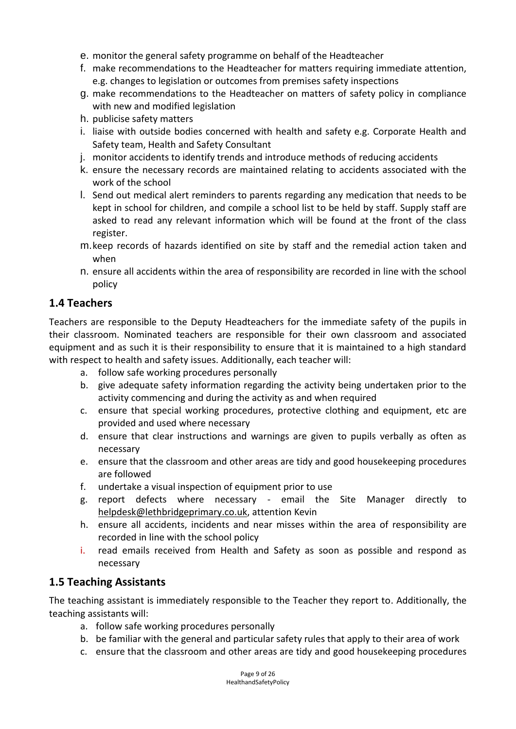- e. monitor the general safety programme on behalf of the Headteacher
- f. make recommendations to the Headteacher for matters requiring immediate attention, e.g. changes to legislation or outcomes from premises safety inspections
- g. make recommendations to the Headteacher on matters of safety policy in compliance with new and modified legislation
- h. publicise safety matters
- i. liaise with outside bodies concerned with health and safety e.g. Corporate Health and Safety team, Health and Safety Consultant
- j. monitor accidents to identify trends and introduce methods of reducing accidents
- k. ensure the necessary records are maintained relating to accidents associated with the work of the school
- l. Send out medical alert reminders to parents regarding any medication that needs to be kept in school for children, and compile a school list to be held by staff. Supply staff are asked to read any relevant information which will be found at the front of the class register.
- m.keep records of hazards identified on site by staff and the remedial action taken and when
- n. ensure all accidents within the area of responsibility are recorded in line with the school policy

### **1.4 Teachers**

Teachers are responsible to the Deputy Headteachers for the immediate safety of the pupils in their classroom. Nominated teachers are responsible for their own classroom and associated equipment and as such it is their responsibility to ensure that it is maintained to a high standard with respect to health and safety issues. Additionally, each teacher will:

- a. follow safe working procedures personally
- b. give adequate safety information regarding the activity being undertaken prior to the activity commencing and during the activity as and when required
- c. ensure that special working procedures, protective clothing and equipment, etc are provided and used where necessary
- d. ensure that clear instructions and warnings are given to pupils verbally as often as necessary
- e. ensure that the classroom and other areas are tidy and good housekeeping procedures are followed
- f. undertake a visual inspection of equipment prior to use
- g. report defects where necessary email the Site Manager directly to [helpdesk@lethbridgeprimary.co.uk,](mailto:helpdesk@lethbridgeprimary.co.uk) attention Kevin
- h. ensure all accidents, incidents and near misses within the area of responsibility are recorded in line with the school policy
- i. read emails received from Health and Safety as soon as possible and respond as necessary

### **1.5 Teaching Assistants**

The teaching assistant is immediately responsible to the Teacher they report to. Additionally, the teaching assistants will:

- a. follow safe working procedures personally
- b. be familiar with the general and particular safety rules that apply to their area of work
- c. ensure that the classroom and other areas are tidy and good housekeeping procedures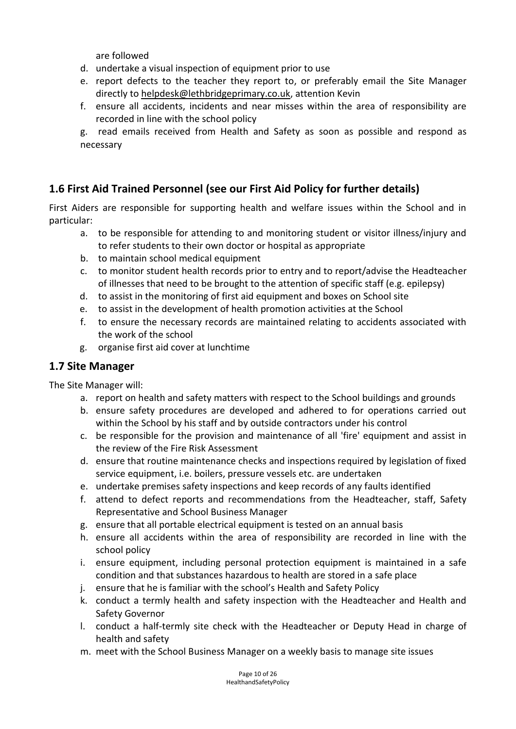are followed

- d. undertake a visual inspection of equipment prior to use
- e. report defects to the teacher they report to, or preferably email the Site Manager directly to [helpdesk@lethbridgeprimary.co.uk,](mailto:helpdesk@lethbridgeprimary.co.uk) attention Kevin
- f. ensure all accidents, incidents and near misses within the area of responsibility are recorded in line with the school policy
- g. read emails received from Health and Safety as soon as possible and respond as necessary

# **1.6 First Aid Trained Personnel (see our First Aid Policy for further details)**

First Aiders are responsible for supporting health and welfare issues within the School and in particular:

- a. to be responsible for attending to and monitoring student or visitor illness/injury and to refer students to their own doctor or hospital as appropriate
- b. to maintain school medical equipment
- c. to monitor student health records prior to entry and to report/advise the Headteacher of illnesses that need to be brought to the attention of specific staff (e.g. epilepsy)
- d. to assist in the monitoring of first aid equipment and boxes on School site
- e. to assist in the development of health promotion activities at the School
- f. to ensure the necessary records are maintained relating to accidents associated with the work of the school
- g. organise first aid cover at lunchtime

#### **1.7 Site Manager**

The Site Manager will:

- a. report on health and safety matters with respect to the School buildings and grounds
- b. ensure safety procedures are developed and adhered to for operations carried out within the School by his staff and by outside contractors under his control
- c. be responsible for the provision and maintenance of all 'fire' equipment and assist in the review of the Fire Risk Assessment
- d. ensure that routine maintenance checks and inspections required by legislation of fixed service equipment, i.e. boilers, pressure vessels etc. are undertaken
- e. undertake premises safety inspections and keep records of any faults identified
- f. attend to defect reports and recommendations from the Headteacher, staff, Safety Representative and School Business Manager
- g. ensure that all portable electrical equipment is tested on an annual basis
- h. ensure all accidents within the area of responsibility are recorded in line with the school policy
- i. ensure equipment, including personal protection equipment is maintained in a safe condition and that substances hazardous to health are stored in a safe place
- j. ensure that he is familiar with the school's Health and Safety Policy
- k. conduct a termly health and safety inspection with the Headteacher and Health and Safety Governor
- l. conduct a half-termly site check with the Headteacher or Deputy Head in charge of health and safety
- m. meet with the School Business Manager on a weekly basis to manage site issues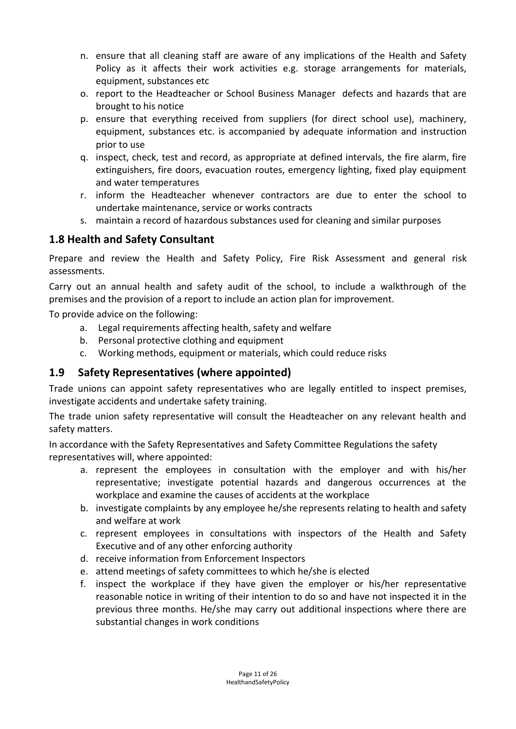- n. ensure that all cleaning staff are aware of any implications of the Health and Safety Policy as it affects their work activities e.g. storage arrangements for materials, equipment, substances etc
- o. report to the Headteacher or School Business Manager defects and hazards that are brought to his notice
- p. ensure that everything received from suppliers (for direct school use), machinery, equipment, substances etc. is accompanied by adequate information and instruction prior to use
- q. inspect, check, test and record, as appropriate at defined intervals, the fire alarm, fire extinguishers, fire doors, evacuation routes, emergency lighting, fixed play equipment and water temperatures
- r. inform the Headteacher whenever contractors are due to enter the school to undertake maintenance, service or works contracts
- s. maintain a record of hazardous substances used for cleaning and similar purposes

### **1.8 Health and Safety Consultant**

Prepare and review the Health and Safety Policy, Fire Risk Assessment and general risk assessments.

Carry out an annual health and safety audit of the school, to include a walkthrough of the premises and the provision of a report to include an action plan for improvement.

To provide advice on the following:

- a. Legal requirements affecting health, safety and welfare
- b. Personal protective clothing and equipment
- c. Working methods, equipment or materials, which could reduce risks

### **1.9 Safety Representatives (where appointed)**

Trade unions can appoint safety representatives who are legally entitled to inspect premises, investigate accidents and undertake safety training.

The trade union safety representative will consult the Headteacher on any relevant health and safety matters.

In accordance with the Safety Representatives and Safety Committee Regulations the safety representatives will, where appointed:

- a. represent the employees in consultation with the employer and with his/her representative; investigate potential hazards and dangerous occurrences at the workplace and examine the causes of accidents at the workplace
- b. investigate complaints by any employee he/she represents relating to health and safety and welfare at work
- c. represent employees in consultations with inspectors of the Health and Safety Executive and of any other enforcing authority
- d. receive information from Enforcement Inspectors
- e. attend meetings of safety committees to which he/she is elected
- f. inspect the workplace if they have given the employer or his/her representative reasonable notice in writing of their intention to do so and have not inspected it in the previous three months. He/she may carry out additional inspections where there are substantial changes in work conditions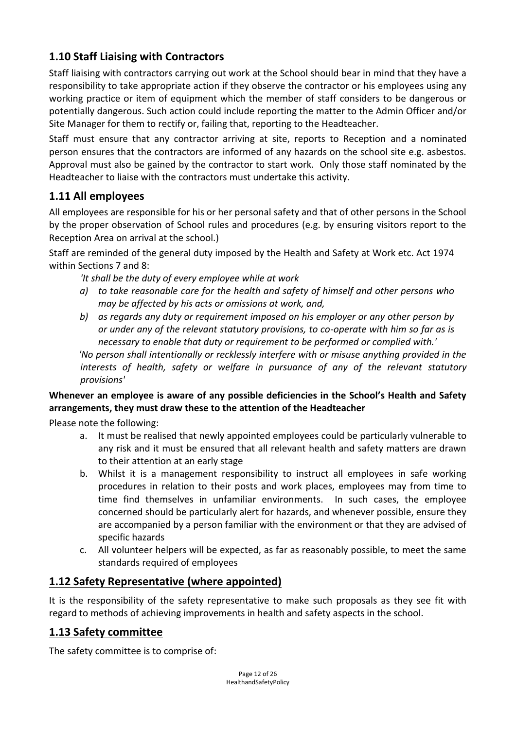# **1.10 Staff Liaising with Contractors**

Staff liaising with contractors carrying out work at the School should bear in mind that they have a responsibility to take appropriate action if they observe the contractor or his employees using any working practice or item of equipment which the member of staff considers to be dangerous or potentially dangerous. Such action could include reporting the matter to the Admin Officer and/or Site Manager for them to rectify or, failing that, reporting to the Headteacher.

Staff must ensure that any contractor arriving at site, reports to Reception and a nominated person ensures that the contractors are informed of any hazards on the school site e.g. asbestos. Approval must also be gained by the contractor to start work. Only those staff nominated by the Headteacher to liaise with the contractors must undertake this activity.

### **1.11 All employees**

All employees are responsible for his or her personal safety and that of other persons in the School by the proper observation of School rules and procedures (e.g. by ensuring visitors report to the Reception Area on arrival at the school.)

Staff are reminded of the general duty imposed by the Health and Safety at Work etc. Act 1974 within Sections 7 and 8:

*'It shall be the duty of every employee while at work*

- *a) to take reasonable care for the health and safety of himself and other persons who may be affected by his acts or omissions at work, and,*
- *b) as regards any duty or requirement imposed on his employer or any other person by or under any of the relevant statutory provisions, to co-operate with him so far as is necessary to enable that duty or requirement to be performed or complied with.'*

 *'No person shall intentionally or recklessly interfere with or misuse anything provided in the interests of health, safety or welfare in pursuance of any of the relevant statutory provisions'*

#### **Whenever an employee is aware of any possible deficiencies in the School's Health and Safety arrangements, they must draw these to the attention of the Headteacher**

Please note the following:

- a. It must be realised that newly appointed employees could be particularly vulnerable to any risk and it must be ensured that all relevant health and safety matters are drawn to their attention at an early stage
- b. Whilst it is a management responsibility to instruct all employees in safe working procedures in relation to their posts and work places, employees may from time to time find themselves in unfamiliar environments. In such cases, the employee concerned should be particularly alert for hazards, and whenever possible, ensure they are accompanied by a person familiar with the environment or that they are advised of specific hazards
- c. All volunteer helpers will be expected, as far as reasonably possible, to meet the same standards required of employees

### **1.12 Safety Representative (where appointed)**

It is the responsibility of the safety representative to make such proposals as they see fit with regard to methods of achieving improvements in health and safety aspects in the school.

### **1.13 Safety committee**

The safety committee is to comprise of: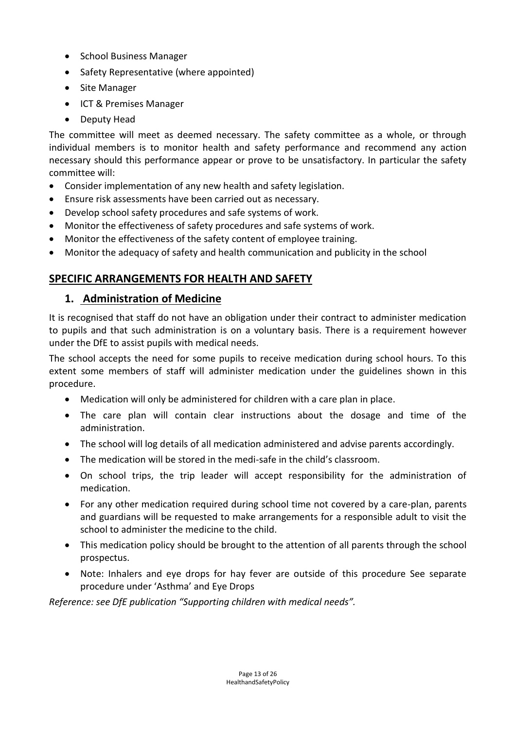- School Business Manager
- Safety Representative (where appointed)
- Site Manager
- ICT & Premises Manager
- Deputy Head

The committee will meet as deemed necessary. The safety committee as a whole, or through individual members is to monitor health and safety performance and recommend any action necessary should this performance appear or prove to be unsatisfactory. In particular the safety committee will:

- Consider implementation of any new health and safety legislation.
- Ensure risk assessments have been carried out as necessary.
- Develop school safety procedures and safe systems of work.
- Monitor the effectiveness of safety procedures and safe systems of work.
- Monitor the effectiveness of the safety content of employee training.
- Monitor the adequacy of safety and health communication and publicity in the school

# **SPECIFIC ARRANGEMENTS FOR HEALTH AND SAFETY**

### **1. Administration of Medicine**

It is recognised that staff do not have an obligation under their contract to administer medication to pupils and that such administration is on a voluntary basis. There is a requirement however under the DfE to assist pupils with medical needs.

The school accepts the need for some pupils to receive medication during school hours. To this extent some members of staff will administer medication under the guidelines shown in this procedure.

- Medication will only be administered for children with a care plan in place.
- The care plan will contain clear instructions about the dosage and time of the administration.
- The school will log details of all medication administered and advise parents accordingly.
- The medication will be stored in the medi-safe in the child's classroom.
- On school trips, the trip leader will accept responsibility for the administration of medication.
- For any other medication required during school time not covered by a care-plan, parents and guardians will be requested to make arrangements for a responsible adult to visit the school to administer the medicine to the child.
- This medication policy should be brought to the attention of all parents through the school prospectus.
- Note: Inhalers and eye drops for hay fever are outside of this procedure See separate procedure under 'Asthma' and Eye Drops

*Reference: see DfE publication "Supporting children with medical needs".*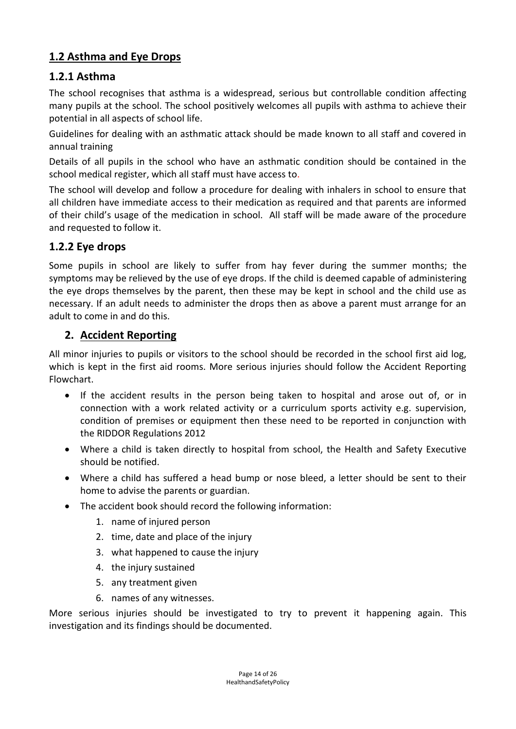# **1.2 Asthma and Eye Drops**

### **1.2.1 Asthma**

The school recognises that asthma is a widespread, serious but controllable condition affecting many pupils at the school. The school positively welcomes all pupils with asthma to achieve their potential in all aspects of school life.

Guidelines for dealing with an asthmatic attack should be made known to all staff and covered in annual training

Details of all pupils in the school who have an asthmatic condition should be contained in the school medical register, which all staff must have access to.

The school will develop and follow a procedure for dealing with inhalers in school to ensure that all children have immediate access to their medication as required and that parents are informed of their child's usage of the medication in school. All staff will be made aware of the procedure and requested to follow it.

### **1.2.2 Eye drops**

Some pupils in school are likely to suffer from hay fever during the summer months; the symptoms may be relieved by the use of eye drops. If the child is deemed capable of administering the eye drops themselves by the parent, then these may be kept in school and the child use as necessary. If an adult needs to administer the drops then as above a parent must arrange for an adult to come in and do this.

### **2. Accident Reporting**

All minor injuries to pupils or visitors to the school should be recorded in the school first aid log, which is kept in the first aid rooms. More serious injuries should follow the Accident Reporting Flowchart.

- If the accident results in the person being taken to hospital and arose out of, or in connection with a work related activity or a curriculum sports activity e.g. supervision, condition of premises or equipment then these need to be reported in conjunction with the RIDDOR Regulations 2012
- Where a child is taken directly to hospital from school, the Health and Safety Executive should be notified.
- Where a child has suffered a head bump or nose bleed, a letter should be sent to their home to advise the parents or guardian.
- The accident book should record the following information:
	- 1. name of injured person
	- 2. time, date and place of the injury
	- 3. what happened to cause the injury
	- 4. the injury sustained
	- 5. any treatment given
	- 6. names of any witnesses.

More serious injuries should be investigated to try to prevent it happening again. This investigation and its findings should be documented.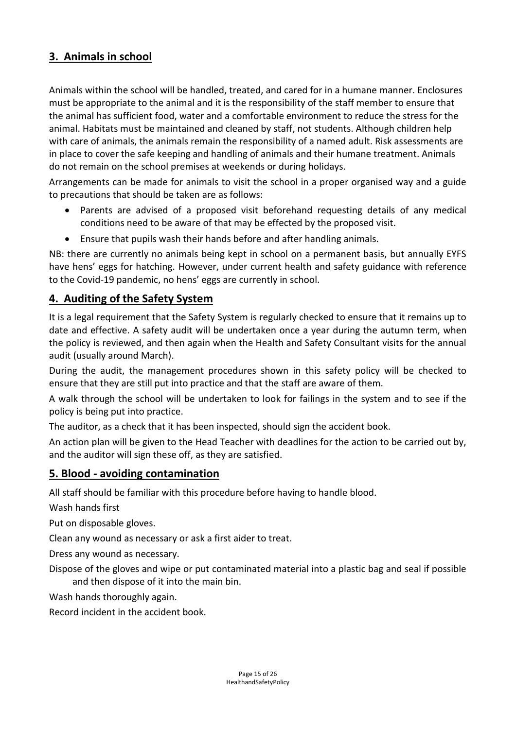# **3. Animals in school**

Animals within the school will be handled, treated, and cared for in a humane manner. Enclosures must be appropriate to the animal and it is the responsibility of the staff member to ensure that the animal has sufficient food, water and a comfortable environment to reduce the stress for the animal. Habitats must be maintained and cleaned by staff, not students. Although children help with care of animals, the animals remain the responsibility of a named adult. Risk assessments are in place to cover the safe keeping and handling of animals and their humane treatment. Animals do not remain on the school premises at weekends or during holidays.

Arrangements can be made for animals to visit the school in a proper organised way and a guide to precautions that should be taken are as follows:

- Parents are advised of a proposed visit beforehand requesting details of any medical conditions need to be aware of that may be effected by the proposed visit.
- Ensure that pupils wash their hands before and after handling animals.

NB: there are currently no animals being kept in school on a permanent basis, but annually EYFS have hens' eggs for hatching. However, under current health and safety guidance with reference to the Covid-19 pandemic, no hens' eggs are currently in school.

### **4. Auditing of the Safety System**

It is a legal requirement that the Safety System is regularly checked to ensure that it remains up to date and effective. A safety audit will be undertaken once a year during the autumn term, when the policy is reviewed, and then again when the Health and Safety Consultant visits for the annual audit (usually around March).

During the audit, the management procedures shown in this safety policy will be checked to ensure that they are still put into practice and that the staff are aware of them.

A walk through the school will be undertaken to look for failings in the system and to see if the policy is being put into practice.

The auditor, as a check that it has been inspected, should sign the accident book.

An action plan will be given to the Head Teacher with deadlines for the action to be carried out by, and the auditor will sign these off, as they are satisfied.

#### **5. Blood - avoiding contamination**

All staff should be familiar with this procedure before having to handle blood.

Wash hands first

Put on disposable gloves.

Clean any wound as necessary or ask a first aider to treat.

Dress any wound as necessary.

Dispose of the gloves and wipe or put contaminated material into a plastic bag and seal if possible and then dispose of it into the main bin.

Wash hands thoroughly again.

Record incident in the accident book.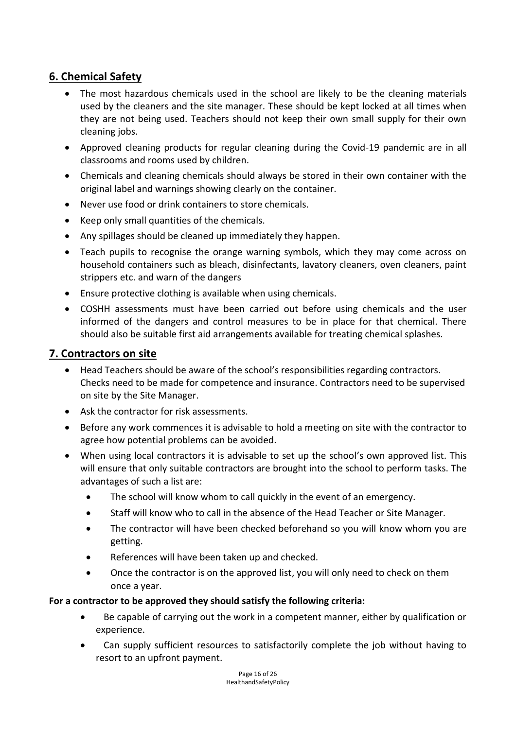# **6. Chemical Safety**

- The most hazardous chemicals used in the school are likely to be the cleaning materials used by the cleaners and the site manager. These should be kept locked at all times when they are not being used. Teachers should not keep their own small supply for their own cleaning jobs.
- Approved cleaning products for regular cleaning during the Covid-19 pandemic are in all classrooms and rooms used by children.
- Chemicals and cleaning chemicals should always be stored in their own container with the original label and warnings showing clearly on the container.
- Never use food or drink containers to store chemicals.
- Keep only small quantities of the chemicals.
- Any spillages should be cleaned up immediately they happen.
- Teach pupils to recognise the orange warning symbols, which they may come across on household containers such as bleach, disinfectants, lavatory cleaners, oven cleaners, paint strippers etc. and warn of the dangers
- Ensure protective clothing is available when using chemicals.
- COSHH assessments must have been carried out before using chemicals and the user informed of the dangers and control measures to be in place for that chemical. There should also be suitable first aid arrangements available for treating chemical splashes.

### **7. Contractors on site**

- Head Teachers should be aware of the school's responsibilities regarding contractors. Checks need to be made for competence and insurance. Contractors need to be supervised on site by the Site Manager.
- Ask the contractor for risk assessments.
- Before any work commences it is advisable to hold a meeting on site with the contractor to agree how potential problems can be avoided.
- When using local contractors it is advisable to set up the school's own approved list. This will ensure that only suitable contractors are brought into the school to perform tasks. The advantages of such a list are:
	- The school will know whom to call quickly in the event of an emergency.
	- Staff will know who to call in the absence of the Head Teacher or Site Manager.
	- The contractor will have been checked beforehand so you will know whom you are getting.
	- References will have been taken up and checked.
	- Once the contractor is on the approved list, you will only need to check on them once a year.

#### **For a contractor to be approved they should satisfy the following criteria:**

- Be capable of carrying out the work in a competent manner, either by qualification or experience.
- Can supply sufficient resources to satisfactorily complete the job without having to resort to an upfront payment.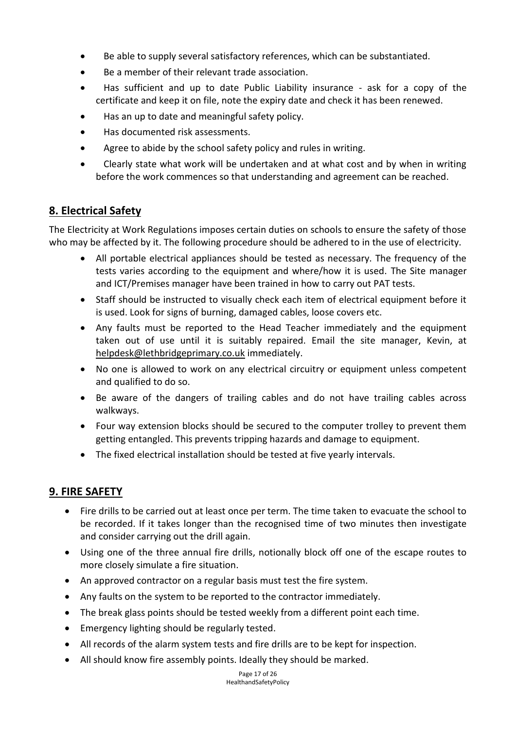- Be able to supply several satisfactory references, which can be substantiated.
- Be a member of their relevant trade association.
- Has sufficient and up to date Public Liability insurance ask for a copy of the certificate and keep it on file, note the expiry date and check it has been renewed.
- Has an up to date and meaningful safety policy.
- Has documented risk assessments.
- Agree to abide by the school safety policy and rules in writing.
- Clearly state what work will be undertaken and at what cost and by when in writing before the work commences so that understanding and agreement can be reached.

### **8. Electrical Safety**

The Electricity at Work Regulations imposes certain duties on schools to ensure the safety of those who may be affected by it. The following procedure should be adhered to in the use of electricity.

- All portable electrical appliances should be tested as necessary. The frequency of the tests varies according to the equipment and where/how it is used. The Site manager and ICT/Premises manager have been trained in how to carry out PAT tests.
- Staff should be instructed to visually check each item of electrical equipment before it is used. Look for signs of burning, damaged cables, loose covers etc.
- Any faults must be reported to the Head Teacher immediately and the equipment taken out of use until it is suitably repaired. Email the site manager, Kevin, at [helpdesk@lethbridgeprimary.co.uk](mailto:helpdesk@lethbridgeprimary.co.uk) immediately.
- No one is allowed to work on any electrical circuitry or equipment unless competent and qualified to do so.
- Be aware of the dangers of trailing cables and do not have trailing cables across walkways.
- Four way extension blocks should be secured to the computer trolley to prevent them getting entangled. This prevents tripping hazards and damage to equipment.
- The fixed electrical installation should be tested at five yearly intervals.

# **9. FIRE SAFETY**

- Fire drills to be carried out at least once per term. The time taken to evacuate the school to be recorded. If it takes longer than the recognised time of two minutes then investigate and consider carrying out the drill again.
- Using one of the three annual fire drills, notionally block off one of the escape routes to more closely simulate a fire situation.
- An approved contractor on a regular basis must test the fire system.
- Any faults on the system to be reported to the contractor immediately.
- The break glass points should be tested weekly from a different point each time.
- Emergency lighting should be regularly tested.
- All records of the alarm system tests and fire drills are to be kept for inspection.
- All should know fire assembly points. Ideally they should be marked.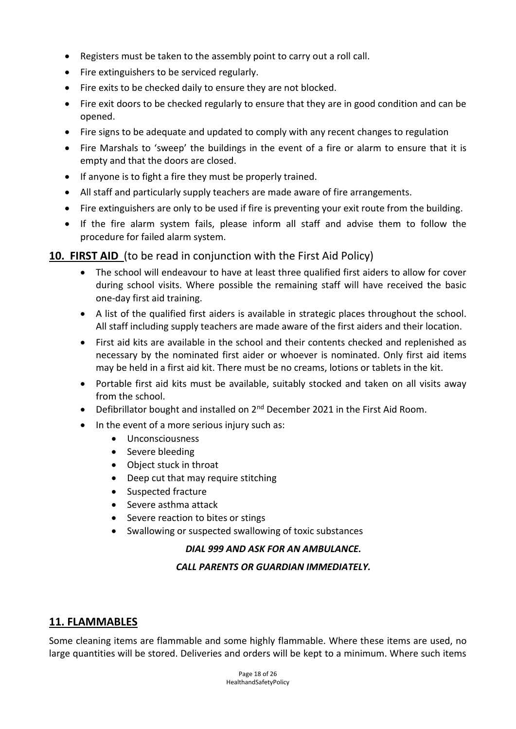- Registers must be taken to the assembly point to carry out a roll call.
- Fire extinguishers to be serviced regularly.
- Fire exits to be checked daily to ensure they are not blocked.
- Fire exit doors to be checked regularly to ensure that they are in good condition and can be opened.
- Fire signs to be adequate and updated to comply with any recent changes to regulation
- Fire Marshals to 'sweep' the buildings in the event of a fire or alarm to ensure that it is empty and that the doors are closed.
- If anyone is to fight a fire they must be properly trained.
- All staff and particularly supply teachers are made aware of fire arrangements.
- Fire extinguishers are only to be used if fire is preventing your exit route from the building.
- If the fire alarm system fails, please inform all staff and advise them to follow the procedure for failed alarm system.

#### **10. FIRST AID** (to be read in conjunction with the First Aid Policy)

- The school will endeavour to have at least three qualified first aiders to allow for cover during school visits. Where possible the remaining staff will have received the basic one-day first aid training.
- A list of the qualified first aiders is available in strategic places throughout the school. All staff including supply teachers are made aware of the first aiders and their location.
- First aid kits are available in the school and their contents checked and replenished as necessary by the nominated first aider or whoever is nominated. Only first aid items may be held in a first aid kit. There must be no creams, lotions or tablets in the kit.
- Portable first aid kits must be available, suitably stocked and taken on all visits away from the school.
- Defibrillator bought and installed on  $2^{nd}$  December 2021 in the First Aid Room.
- In the event of a more serious injury such as:
	- Unconsciousness
	- Severe bleeding
	- Object stuck in throat
	- Deep cut that may require stitching
	- Suspected fracture
	- Severe asthma attack
	- Severe reaction to bites or stings
	- Swallowing or suspected swallowing of toxic substances

#### *DIAL 999 AND ASK FOR AN AMBULANCE.*

#### *CALL PARENTS OR GUARDIAN IMMEDIATELY.*

#### **11. FLAMMABLES**

Some cleaning items are flammable and some highly flammable. Where these items are used, no large quantities will be stored. Deliveries and orders will be kept to a minimum. Where such items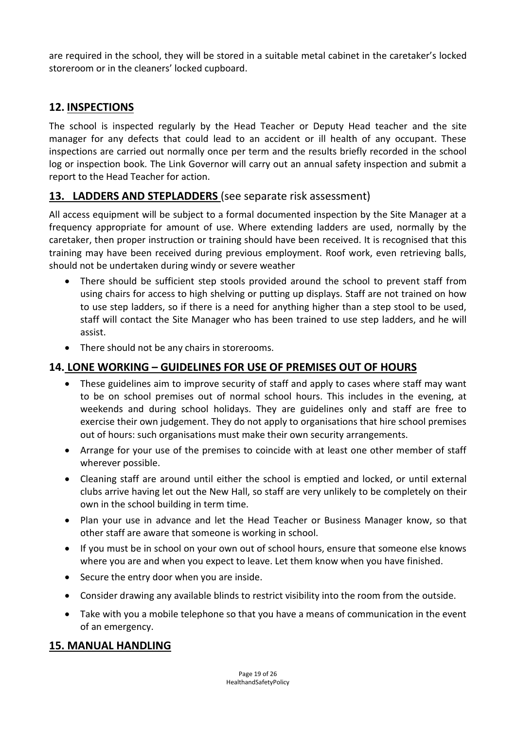are required in the school, they will be stored in a suitable metal cabinet in the caretaker's locked storeroom or in the cleaners' locked cupboard.

### **12. INSPECTIONS**

The school is inspected regularly by the Head Teacher or Deputy Head teacher and the site manager for any defects that could lead to an accident or ill health of any occupant. These inspections are carried out normally once per term and the results briefly recorded in the school log or inspection book. The Link Governor will carry out an annual safety inspection and submit a report to the Head Teacher for action.

### **13. LADDERS AND STEPLADDERS** (see separate risk assessment)

All access equipment will be subject to a formal documented inspection by the Site Manager at a frequency appropriate for amount of use. Where extending ladders are used, normally by the caretaker, then proper instruction or training should have been received. It is recognised that this training may have been received during previous employment. Roof work, even retrieving balls, should not be undertaken during windy or severe weather

- There should be sufficient step stools provided around the school to prevent staff from using chairs for access to high shelving or putting up displays. Staff are not trained on how to use step ladders, so if there is a need for anything higher than a step stool to be used, staff will contact the Site Manager who has been trained to use step ladders, and he will assist.
- There should not be any chairs in storerooms.

### **14. LONE WORKING – GUIDELINES FOR USE OF PREMISES OUT OF HOURS**

- These guidelines aim to improve security of staff and apply to cases where staff may want to be on school premises out of normal school hours. This includes in the evening, at weekends and during school holidays. They are guidelines only and staff are free to exercise their own judgement. They do not apply to organisations that hire school premises out of hours: such organisations must make their own security arrangements.
- Arrange for your use of the premises to coincide with at least one other member of staff wherever possible.
- Cleaning staff are around until either the school is emptied and locked, or until external clubs arrive having let out the New Hall, so staff are very unlikely to be completely on their own in the school building in term time.
- Plan your use in advance and let the Head Teacher or Business Manager know, so that other staff are aware that someone is working in school.
- If you must be in school on your own out of school hours, ensure that someone else knows where you are and when you expect to leave. Let them know when you have finished.
- Secure the entry door when you are inside.
- Consider drawing any available blinds to restrict visibility into the room from the outside.
- Take with you a mobile telephone so that you have a means of communication in the event of an emergency.

#### **15. MANUAL HANDLING**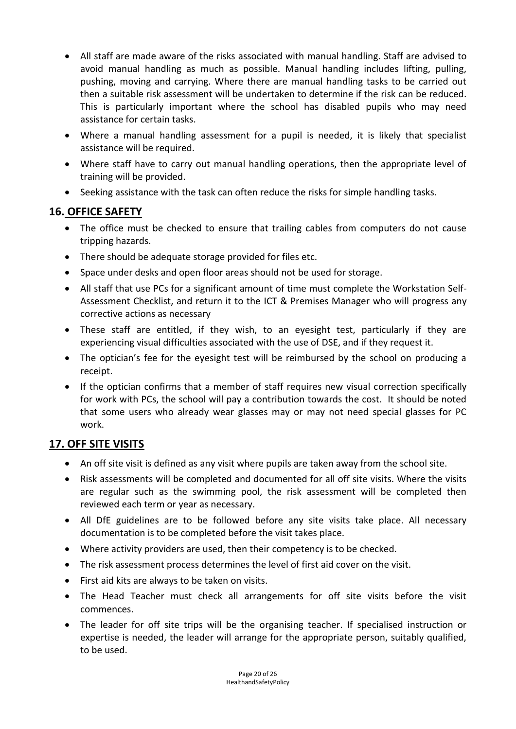- All staff are made aware of the risks associated with manual handling. Staff are advised to avoid manual handling as much as possible. Manual handling includes lifting, pulling, pushing, moving and carrying. Where there are manual handling tasks to be carried out then a suitable risk assessment will be undertaken to determine if the risk can be reduced. This is particularly important where the school has disabled pupils who may need assistance for certain tasks.
- Where a manual handling assessment for a pupil is needed, it is likely that specialist assistance will be required.
- Where staff have to carry out manual handling operations, then the appropriate level of training will be provided.
- Seeking assistance with the task can often reduce the risks for simple handling tasks.

### **16. OFFICE SAFETY**

- The office must be checked to ensure that trailing cables from computers do not cause tripping hazards.
- There should be adequate storage provided for files etc.
- Space under desks and open floor areas should not be used for storage.
- All staff that use PCs for a significant amount of time must complete the Workstation Self-Assessment Checklist, and return it to the ICT & Premises Manager who will progress any corrective actions as necessary
- These staff are entitled, if they wish, to an eyesight test, particularly if they are experiencing visual difficulties associated with the use of DSE, and if they request it.
- The optician's fee for the eyesight test will be reimbursed by the school on producing a receipt.
- If the optician confirms that a member of staff requires new visual correction specifically for work with PCs, the school will pay a contribution towards the cost. It should be noted that some users who already wear glasses may or may not need special glasses for PC work.

# **17. OFF SITE VISITS**

- An off site visit is defined as any visit where pupils are taken away from the school site.
- Risk assessments will be completed and documented for all off site visits. Where the visits are regular such as the swimming pool, the risk assessment will be completed then reviewed each term or year as necessary.
- All DfE guidelines are to be followed before any site visits take place. All necessary documentation is to be completed before the visit takes place.
- Where activity providers are used, then their competency is to be checked.
- The risk assessment process determines the level of first aid cover on the visit.
- First aid kits are always to be taken on visits.
- The Head Teacher must check all arrangements for off site visits before the visit commences.
- The leader for off site trips will be the organising teacher. If specialised instruction or expertise is needed, the leader will arrange for the appropriate person, suitably qualified, to be used.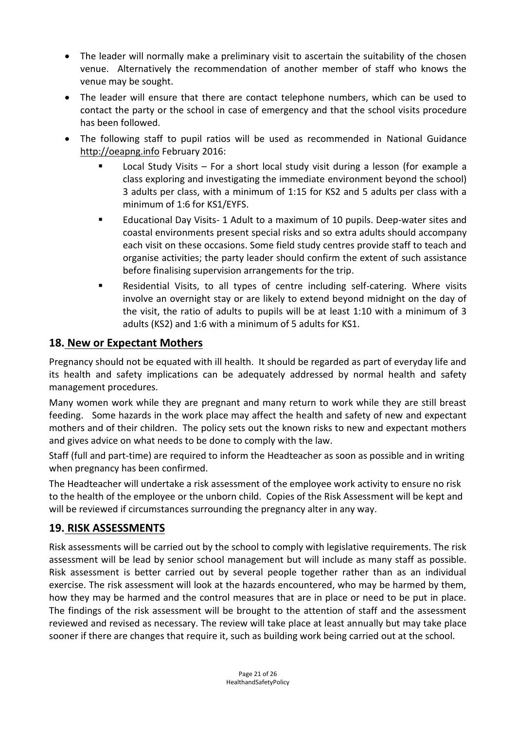- The leader will normally make a preliminary visit to ascertain the suitability of the chosen venue. Alternatively the recommendation of another member of staff who knows the venue may be sought.
- The leader will ensure that there are contact telephone numbers, which can be used to contact the party or the school in case of emergency and that the school visits procedure has been followed.
- The following staff to pupil ratios will be used as recommended in National Guidance [http://oeapng.info](http://oeapng.info/) February 2016:
	- Local Study Visits  $-$  For a short local study visit during a lesson (for example a class exploring and investigating the immediate environment beyond the school) 3 adults per class, with a minimum of 1:15 for KS2 and 5 adults per class with a minimum of 1:6 for KS1/EYFS.
	- Educational Day Visits- 1 Adult to a maximum of 10 pupils. Deep-water sites and coastal environments present special risks and so extra adults should accompany each visit on these occasions. Some field study centres provide staff to teach and organise activities; the party leader should confirm the extent of such assistance before finalising supervision arrangements for the trip.
	- Residential Visits, to all types of centre including self-catering. Where visits involve an overnight stay or are likely to extend beyond midnight on the day of the visit, the ratio of adults to pupils will be at least 1:10 with a minimum of 3 adults (KS2) and 1:6 with a minimum of 5 adults for KS1.

### **18. New or Expectant Mothers**

Pregnancy should not be equated with ill health. It should be regarded as part of everyday life and its health and safety implications can be adequately addressed by normal health and safety management procedures.

Many women work while they are pregnant and many return to work while they are still breast feeding. Some hazards in the work place may affect the health and safety of new and expectant mothers and of their children. The policy sets out the known risks to new and expectant mothers and gives advice on what needs to be done to comply with the law.

Staff (full and part-time) are required to inform the Headteacher as soon as possible and in writing when pregnancy has been confirmed.

The Headteacher will undertake a risk assessment of the employee work activity to ensure no risk to the health of the employee or the unborn child. Copies of the Risk Assessment will be kept and will be reviewed if circumstances surrounding the pregnancy alter in any way.

### **19. RISK ASSESSMENTS**

Risk assessments will be carried out by the school to comply with legislative requirements. The risk assessment will be lead by senior school management but will include as many staff as possible. Risk assessment is better carried out by several people together rather than as an individual exercise. The risk assessment will look at the hazards encountered, who may be harmed by them, how they may be harmed and the control measures that are in place or need to be put in place. The findings of the risk assessment will be brought to the attention of staff and the assessment reviewed and revised as necessary. The review will take place at least annually but may take place sooner if there are changes that require it, such as building work being carried out at the school.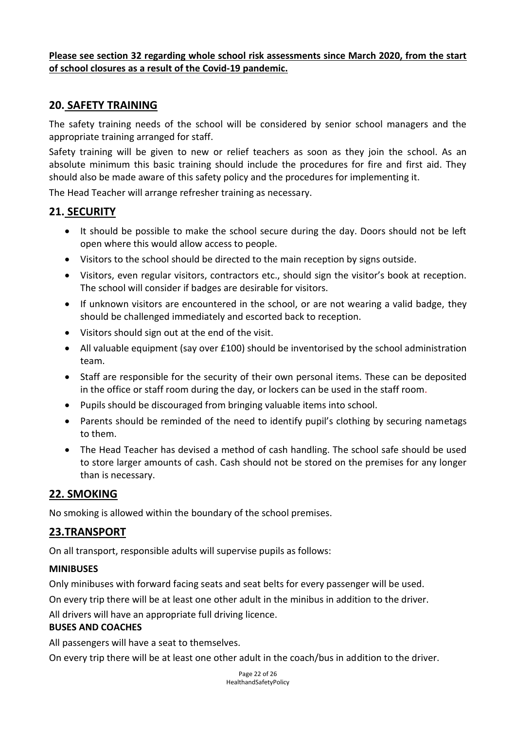#### **Please see section 32 regarding whole school risk assessments since March 2020, from the start of school closures as a result of the Covid-19 pandemic.**

#### **20. SAFETY TRAINING**

The safety training needs of the school will be considered by senior school managers and the appropriate training arranged for staff.

Safety training will be given to new or relief teachers as soon as they join the school. As an absolute minimum this basic training should include the procedures for fire and first aid. They should also be made aware of this safety policy and the procedures for implementing it.

The Head Teacher will arrange refresher training as necessary.

### **21. SECURITY**

- It should be possible to make the school secure during the day. Doors should not be left open where this would allow access to people.
- Visitors to the school should be directed to the main reception by signs outside.
- Visitors, even regular visitors, contractors etc., should sign the visitor's book at reception. The school will consider if badges are desirable for visitors.
- If unknown visitors are encountered in the school, or are not wearing a valid badge, they should be challenged immediately and escorted back to reception.
- Visitors should sign out at the end of the visit.
- All valuable equipment (say over £100) should be inventorised by the school administration team.
- Staff are responsible for the security of their own personal items. These can be deposited in the office or staff room during the day, or lockers can be used in the staff room.
- Pupils should be discouraged from bringing valuable items into school.
- Parents should be reminded of the need to identify pupil's clothing by securing nametags to them.
- The Head Teacher has devised a method of cash handling. The school safe should be used to store larger amounts of cash. Cash should not be stored on the premises for any longer than is necessary.

#### **22. SMOKING**

No smoking is allowed within the boundary of the school premises.

#### **23.TRANSPORT**

On all transport, responsible adults will supervise pupils as follows:

#### **MINIBUSES**

Only minibuses with forward facing seats and seat belts for every passenger will be used.

On every trip there will be at least one other adult in the minibus in addition to the driver.

All drivers will have an appropriate full driving licence.

#### **BUSES AND COACHES**

All passengers will have a seat to themselves.

On every trip there will be at least one other adult in the coach/bus in addition to the driver.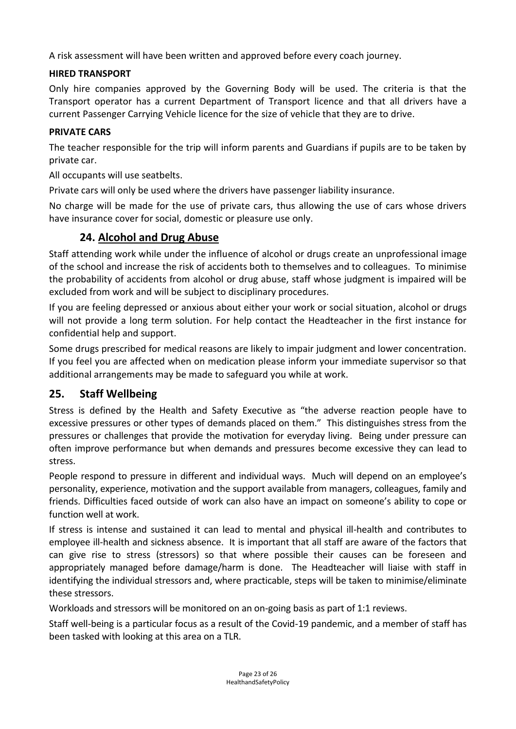A risk assessment will have been written and approved before every coach journey.

### **HIRED TRANSPORT**

Only hire companies approved by the Governing Body will be used. The criteria is that the Transport operator has a current Department of Transport licence and that all drivers have a current Passenger Carrying Vehicle licence for the size of vehicle that they are to drive.

### **PRIVATE CARS**

The teacher responsible for the trip will inform parents and Guardians if pupils are to be taken by private car.

All occupants will use seatbelts.

Private cars will only be used where the drivers have passenger liability insurance.

No charge will be made for the use of private cars, thus allowing the use of cars whose drivers have insurance cover for social, domestic or pleasure use only.

# **24. Alcohol and Drug Abuse**

Staff attending work while under the influence of alcohol or drugs create an unprofessional image of the school and increase the risk of accidents both to themselves and to colleagues. To minimise the probability of accidents from alcohol or drug abuse, staff whose judgment is impaired will be excluded from work and will be subject to disciplinary procedures.

If you are feeling depressed or anxious about either your work or social situation, alcohol or drugs will not provide a long term solution*.* For help contact the Headteacher in the first instance for confidential help and support.

Some drugs prescribed for medical reasons are likely to impair judgment and lower concentration. If you feel you are affected when on medication please inform your immediate supervisor so that additional arrangements may be made to safeguard you while at work.

# **25. Staff Wellbeing**

Stress is defined by the Health and Safety Executive as "the adverse reaction people have to excessive pressures or other types of demands placed on them." This distinguishes stress from the pressures or challenges that provide the motivation for everyday living. Being under pressure can often improve performance but when demands and pressures become excessive they can lead to stress.

People respond to pressure in different and individual ways. Much will depend on an employee's personality, experience, motivation and the support available from managers, colleagues, family and friends. Difficulties faced outside of work can also have an impact on someone's ability to cope or function well at work.

If stress is intense and sustained it can lead to mental and physical ill-health and contributes to employee ill-health and sickness absence. It is important that all staff are aware of the factors that can give rise to stress (stressors) so that where possible their causes can be foreseen and appropriately managed before damage/harm is done. The Headteacher will liaise with staff in identifying the individual stressors and, where practicable, steps will be taken to minimise/eliminate these stressors.

Workloads and stressors will be monitored on an on-going basis as part of 1:1 reviews.

Staff well-being is a particular focus as a result of the Covid-19 pandemic, and a member of staff has been tasked with looking at this area on a TLR.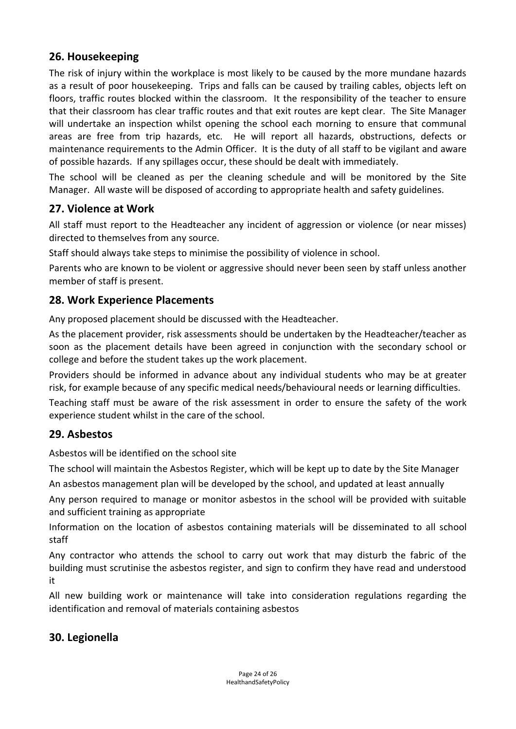# **26. Housekeeping**

The risk of injury within the workplace is most likely to be caused by the more mundane hazards as a result of poor housekeeping. Trips and falls can be caused by trailing cables, objects left on floors, traffic routes blocked within the classroom. It the responsibility of the teacher to ensure that their classroom has clear traffic routes and that exit routes are kept clear. The Site Manager will undertake an inspection whilst opening the school each morning to ensure that communal areas are free from trip hazards, etc. He will report all hazards, obstructions, defects or maintenance requirements to the Admin Officer. It is the duty of all staff to be vigilant and aware of possible hazards. If any spillages occur, these should be dealt with immediately.

The school will be cleaned as per the cleaning schedule and will be monitored by the Site Manager. All waste will be disposed of according to appropriate health and safety guidelines.

### **27. Violence at Work**

All staff must report to the Headteacher any incident of aggression or violence (or near misses) directed to themselves from any source.

Staff should always take steps to minimise the possibility of violence in school.

Parents who are known to be violent or aggressive should never been seen by staff unless another member of staff is present.

### **28. Work Experience Placements**

Any proposed placement should be discussed with the Headteacher.

As the placement provider, risk assessments should be undertaken by the Headteacher/teacher as soon as the placement details have been agreed in conjunction with the secondary school or college and before the student takes up the work placement.

Providers should be informed in advance about any individual students who may be at greater risk, for example because of any specific medical needs/behavioural needs or learning difficulties.

Teaching staff must be aware of the risk assessment in order to ensure the safety of the work experience student whilst in the care of the school.

### **29. Asbestos**

Asbestos will be identified on the school site

The school will maintain the Asbestos Register, which will be kept up to date by the Site Manager

An asbestos management plan will be developed by the school, and updated at least annually

Any person required to manage or monitor asbestos in the school will be provided with suitable and sufficient training as appropriate

Information on the location of asbestos containing materials will be disseminated to all school staff

Any contractor who attends the school to carry out work that may disturb the fabric of the building must scrutinise the asbestos register, and sign to confirm they have read and understood it

All new building work or maintenance will take into consideration regulations regarding the identification and removal of materials containing asbestos

### **30. Legionella**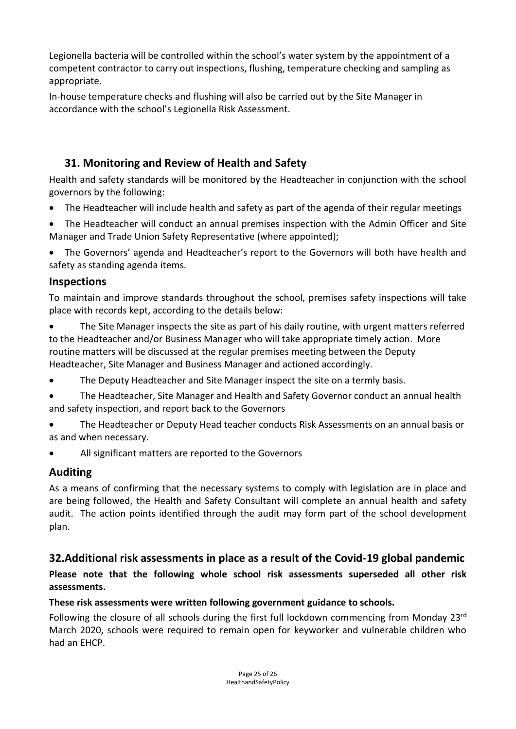Legionella bacteria will be controlled within the school's water system by the appointment of a competent contractor to carry out inspections, flushing, temperature checking and sampling as appropriate.

In-house temperature checks and flushing will also be carried out by the Site Manager in accordance with the school's Legionella Risk Assessment.

# **31. Monitoring and Review of Health and Safety**

Health and safety standards will be monitored by the Headteacher in conjunction with the school governors by the following:

- The Headteacher will include health and safety as part of the agenda of their regular meetings
- The Headteacher will conduct an annual premises inspection with the Admin Officer and Site Manager and Trade Union Safety Representative (where appointed);
- The Governors' agenda and Headteacher's report to the Governors will both have health and safety as standing agenda items.

### **Inspections**

To maintain and improve standards throughout the school, premises safety inspections will take place with records kept, according to the details below:

The Site Manager inspects the site as part of his daily routine, with urgent matters referred to the Headteacher and/or Business Manager who will take appropriate timely action. More routine matters will be discussed at the regular premises meeting between the Deputy Headteacher, Site Manager and Business Manager and actioned accordingly.

- The Deputy Headteacher and Site Manager inspect the site on a termly basis.
- The Headteacher, Site Manager and Health and Safety Governor conduct an annual health and safety inspection, and report back to the Governors
- The Headteacher or Deputy Head teacher conducts Risk Assessments on an annual basis or as and when necessary.
- All significant matters are reported to the Governors

### **Auditing**

As a means of confirming that the necessary systems to comply with legislation are in place and are being followed, the Health and Safety Consultant will complete an annual health and safety audit. The action points identified through the audit may form part of the school development plan.

# **32.Additional risk assessments in place as a result of the Covid-19 global pandemic**

### **Please note that the following whole school risk assessments superseded all other risk assessments.**

#### **These risk assessments were written following government guidance to schools.**

Following the closure of all schools during the first full lockdown commencing from Monday 23<sup>rd</sup> March 2020, schools were required to remain open for keyworker and vulnerable children who had an EHCP.